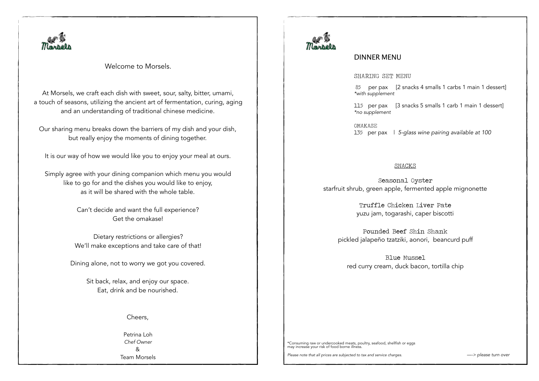

Welcome to Morsels.

At Morsels, we craft each dish with sweet, sour, salty, bitter, umami, a touch of seasons, utilizing the ancient art of fermentation, curing, aging and an understanding of traditional chinese medicine.

Our sharing menu breaks down the barriers of my dish and your dish, but really enjoy the moments of dining together.

It is our way of how we would like you to enjoy your meal at ours.

Simply agree with your dining companion which menu you would like to go for and the dishes you would like to enjoy, as it will be shared with the whole table.

> Can't decide and want the full experience? Get the omakase!

Dietary restrictions or allergies? We'll make exceptions and take care of that!

Dining alone, not to worry we got you covered.

Sit back, relax, and enjoy our space. Eat, drink and be nourished.

Cheers,

Petrina Loh *Chef Owner*  & Team Morsels



# DINNER MENU

# SHARING SET MENU

85 per pax [2 snacks 4 smalls 1 carbs 1 main 1 dessert] *\*with supplement* 

115 per pax [3 snacks 5 smalls 1 carb 1 main 1 dessert] *\*no supplement* 

OMAKASE 135 per pax | *5-glass wine pairing available at 100* 

## SNACKS

Seasonal Oyster starfruit shrub, green apple, fermented apple mignonette

> Truffle Chicken Liver Pate yuzu jam, togarashi, caper biscotti

Pounded Beef Shin Shank pickled jalapeño tzatziki, aonori, beancurd puff

Blue Mussel red curry cream, duck bacon, tortilla chip

\*Consuming raw or undercooked meats, poultry, seafood, shellfish or eggs may increase your risk of food borne illness.

Please note that all prices are subjected to tax and service charges. **Example 20** and *--> please turn over*  $\rightarrow$  *--> please turn over*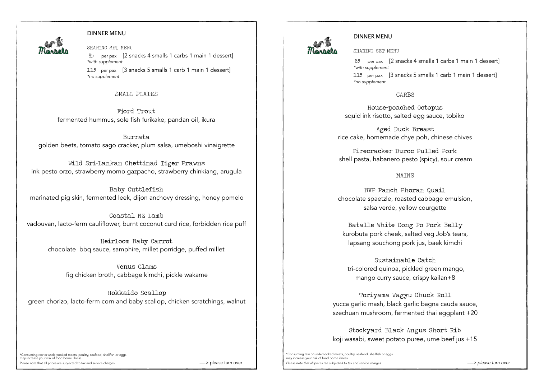

#### DINNER MENU

SHARING SET MENU 85 per pax [2 snacks 4 smalls 1 carbs 1 main 1 dessert] *\*with supplement*  115 per pax [3 snacks 5 smalls 1 carb 1 main 1 dessert] *\*no supplement* 

#### SMALL PLATES

Fjord Trout fermented hummus, sole fish furikake, pandan oil, ikura

Burrata golden beets, tomato sago cracker, plum salsa, umeboshi vinaigrette

Wild Sri-Lankan Chettinad Tiger Prawns ink pesto orzo, strawberry momo gazpacho, strawberry chinkiang, arugula

Baby Cuttlefish marinated pig skin, fermented leek, dijon anchovy dressing, honey pomelo

Coastal NZ Lamb vadouvan, lacto-ferm cauliflower, burnt coconut curd rice, forbidden rice puff

Heirloom Baby Carrot chocolate bbq sauce, samphire, millet porridge, puffed millet

Venus Clams fig chicken broth, cabbage kimchi, pickle wakame

Hokkaido Scallop green chorizo, lacto-ferm corn and baby scallop, chicken scratchings, walnut



#### DINNER MENU

SHARING SET MENU

85 per pax [2 snacks 4 smalls 1 carbs 1 main 1 dessert] *\*with supplement*  115 per pax [3 snacks 5 smalls 1 carb 1 main 1 dessert] *\*no supplement* 

CARBS

 House-poached Octopus squid ink risotto, salted egg sauce, tobiko

Aged Duck Breast rice cake, homemade chye poh, chinese chives

Firecracker Duroc Pulled Pork shell pasta, habanero pesto (spicy), sour cream

# MAINS

BVP Panch Phoran Quail chocolate spaetzle, roasted cabbage emulsion, salsa verde, yellow courgette

Batalle White Dong Po Pork Belly kurobuta pork cheek, salted veg Job's tears, lapsang souchong pork jus, baek kimchi

Sustainable Catch tri-colored quinoa, pickled green mango, mango curry sauce, crispy kailan+8

Toriyama Wagyu Chuck Roll yucca garlic mash, black garlic bagna cauda sauce, szechuan mushroom, fermented thai eggplant +20

Stockyard Black Angus Short Rib koji wasabi, sweet potato puree, ume beef jus +15

\*Consuming raw or undercooked meats, poultry, seafood, shellfish or eggs may increase your risk of food borne illness. Please note that all prices are subjected to tax and service charges. The magnetic example of the service of the service charges. The service of the service of the service service charges. The service of the service of the

\*Consuming raw or undercooked meats, poultry, seafood, shellfish or eggs may increase your risk of food borne illness. Please note that all prices rae subjected to tax and service charges. **Example 20** and **prices in the service of the service** of *a* and service charges. **Example 20** and **prices rate subjected** to tax and service charges.